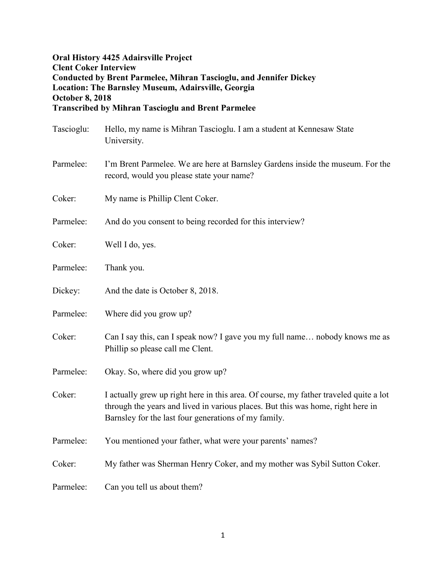## **Oral History 4425 Adairsville Project Clent Coker Interview Conducted by Brent Parmelee, Mihran Tascioglu, and Jennifer Dickey Location: The Barnsley Museum, Adairsville, Georgia October 8, 2018 Transcribed by Mihran Tascioglu and Brent Parmelee**

| Tascioglu: | Hello, my name is Mihran Tascioglu. I am a student at Kennesaw State<br>University.                                                                                                                                              |
|------------|----------------------------------------------------------------------------------------------------------------------------------------------------------------------------------------------------------------------------------|
| Parmelee:  | I'm Brent Parmelee. We are here at Barnsley Gardens inside the museum. For the<br>record, would you please state your name?                                                                                                      |
| Coker:     | My name is Phillip Clent Coker.                                                                                                                                                                                                  |
| Parmelee:  | And do you consent to being recorded for this interview?                                                                                                                                                                         |
| Coker:     | Well I do, yes.                                                                                                                                                                                                                  |
| Parmelee:  | Thank you.                                                                                                                                                                                                                       |
| Dickey:    | And the date is October 8, 2018.                                                                                                                                                                                                 |
| Parmelee:  | Where did you grow up?                                                                                                                                                                                                           |
| Coker:     | Can I say this, can I speak now? I gave you my full name nobody knows me as<br>Phillip so please call me Clent.                                                                                                                  |
| Parmelee:  | Okay. So, where did you grow up?                                                                                                                                                                                                 |
| Coker:     | I actually grew up right here in this area. Of course, my father traveled quite a lot<br>through the years and lived in various places. But this was home, right here in<br>Barnsley for the last four generations of my family. |
| Parmelee:  | You mentioned your father, what were your parents' names?                                                                                                                                                                        |
| Coker:     | My father was Sherman Henry Coker, and my mother was Sybil Sutton Coker.                                                                                                                                                         |
| Parmelee:  | Can you tell us about them?                                                                                                                                                                                                      |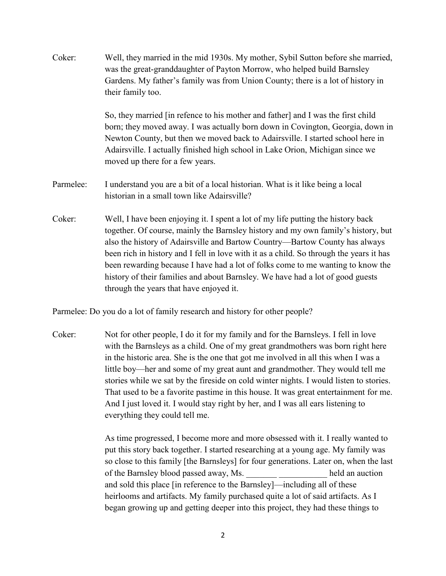| Coker:    | Well, they married in the mid 1930s. My mother, Sybil Sutton before she married,<br>was the great-granddaughter of Payton Morrow, who helped build Barnsley<br>Gardens. My father's family was from Union County; there is a lot of history in<br>their family too.                                                                                                                                                                                                                                                                                             |
|-----------|-----------------------------------------------------------------------------------------------------------------------------------------------------------------------------------------------------------------------------------------------------------------------------------------------------------------------------------------------------------------------------------------------------------------------------------------------------------------------------------------------------------------------------------------------------------------|
|           | So, they married [in refence to his mother and father] and I was the first child<br>born; they moved away. I was actually born down in Covington, Georgia, down in<br>Newton County, but then we moved back to Adairsville. I started school here in<br>Adairsville. I actually finished high school in Lake Orion, Michigan since we<br>moved up there for a few years.                                                                                                                                                                                        |
| Parmelee: | I understand you are a bit of a local historian. What is it like being a local<br>historian in a small town like Adairsville?                                                                                                                                                                                                                                                                                                                                                                                                                                   |
| Coker:    | Well, I have been enjoying it. I spent a lot of my life putting the history back<br>together. Of course, mainly the Barnsley history and my own family's history, but<br>also the history of Adairsville and Bartow Country-Bartow County has always<br>been rich in history and I fell in love with it as a child. So through the years it has<br>been rewarding because I have had a lot of folks come to me wanting to know the<br>history of their families and about Barnsley. We have had a lot of good guests<br>through the years that have enjoyed it. |

Parmelee: Do you do a lot of family research and history for other people?

Coker: Not for other people, I do it for my family and for the Barnsleys. I fell in love with the Barnsleys as a child. One of my great grandmothers was born right here in the historic area. She is the one that got me involved in all this when I was a little boy—her and some of my great aunt and grandmother. They would tell me stories while we sat by the fireside on cold winter nights. I would listen to stories. That used to be a favorite pastime in this house. It was great entertainment for me. And I just loved it. I would stay right by her, and I was all ears listening to everything they could tell me.

> As time progressed, I become more and more obsessed with it. I really wanted to put this story back together. I started researching at a young age. My family was so close to this family [the Barnsleys] for four generations. Later on, when the last of the Barnsley blood passed away, Ms. \_\_\_\_\_\_\_ \_\_\_\_\_\_\_\_\_\_\_ held an auction and sold this place [in reference to the Barnsley]—including all of these heirlooms and artifacts. My family purchased quite a lot of said artifacts. As I began growing up and getting deeper into this project, they had these things to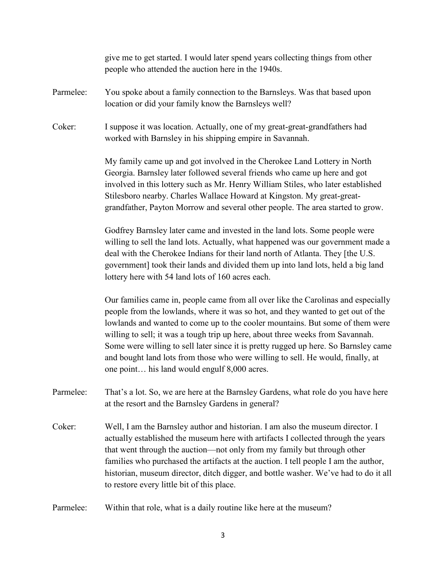|           | give me to get started. I would later spend years collecting things from other<br>people who attended the auction here in the 1940s.                                                                                                                                                                                                                                                                                                                                                                                                                               |
|-----------|--------------------------------------------------------------------------------------------------------------------------------------------------------------------------------------------------------------------------------------------------------------------------------------------------------------------------------------------------------------------------------------------------------------------------------------------------------------------------------------------------------------------------------------------------------------------|
| Parmelee: | You spoke about a family connection to the Barnsleys. Was that based upon<br>location or did your family know the Barnsleys well?                                                                                                                                                                                                                                                                                                                                                                                                                                  |
| Coker:    | I suppose it was location. Actually, one of my great-great-grandfathers had<br>worked with Barnsley in his shipping empire in Savannah.                                                                                                                                                                                                                                                                                                                                                                                                                            |
|           | My family came up and got involved in the Cherokee Land Lottery in North<br>Georgia. Barnsley later followed several friends who came up here and got<br>involved in this lottery such as Mr. Henry William Stiles, who later established<br>Stilesboro nearby. Charles Wallace Howard at Kingston. My great-great-<br>grandfather, Payton Morrow and several other people. The area started to grow.                                                                                                                                                              |
|           | Godfrey Barnsley later came and invested in the land lots. Some people were<br>willing to sell the land lots. Actually, what happened was our government made a<br>deal with the Cherokee Indians for their land north of Atlanta. They [the U.S.<br>government] took their lands and divided them up into land lots, held a big land<br>lottery here with 54 land lots of 160 acres each.                                                                                                                                                                         |
|           | Our families came in, people came from all over like the Carolinas and especially<br>people from the lowlands, where it was so hot, and they wanted to get out of the<br>lowlands and wanted to come up to the cooler mountains. But some of them were<br>willing to sell; it was a tough trip up here, about three weeks from Savannah.<br>Some were willing to sell later since it is pretty rugged up here. So Barnsley came<br>and bought land lots from those who were willing to sell. He would, finally, at<br>one point his land would engulf 8,000 acres. |
| Parmelee: | That's a lot. So, we are here at the Barnsley Gardens, what role do you have here<br>at the resort and the Barnsley Gardens in general?                                                                                                                                                                                                                                                                                                                                                                                                                            |
| Coker:    | Well, I am the Barnsley author and historian. I am also the museum director. I<br>actually established the museum here with artifacts I collected through the years<br>that went through the auction-not only from my family but through other<br>families who purchased the artifacts at the auction. I tell people I am the author,<br>historian, museum director, ditch digger, and bottle washer. We've had to do it all<br>to restore every little bit of this place.                                                                                         |
| Parmelee: | Within that role, what is a daily routine like here at the museum?                                                                                                                                                                                                                                                                                                                                                                                                                                                                                                 |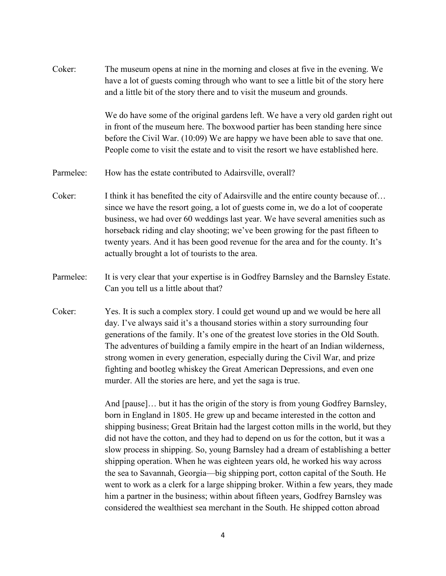Coker: The museum opens at nine in the morning and closes at five in the evening. We have a lot of guests coming through who want to see a little bit of the story here and a little bit of the story there and to visit the museum and grounds.

> We do have some of the original gardens left. We have a very old garden right out in front of the museum here. The boxwood partier has been standing here since before the Civil War. (10:09) We are happy we have been able to save that one. People come to visit the estate and to visit the resort we have established here.

- Parmelee: How has the estate contributed to Adairsville, overall?
- Coker: I think it has benefited the city of Adairsville and the entire county because of... since we have the resort going, a lot of guests come in, we do a lot of cooperate business, we had over 60 weddings last year. We have several amenities such as horseback riding and clay shooting; we've been growing for the past fifteen to twenty years. And it has been good revenue for the area and for the county. It's actually brought a lot of tourists to the area.
- Parmelee: It is very clear that your expertise is in Godfrey Barnsley and the Barnsley Estate. Can you tell us a little about that?
- Coker: Yes. It is such a complex story. I could get wound up and we would be here all day. I've always said it's a thousand stories within a story surrounding four generations of the family. It's one of the greatest love stories in the Old South. The adventures of building a family empire in the heart of an Indian wilderness, strong women in every generation, especially during the Civil War, and prize fighting and bootleg whiskey the Great American Depressions, and even one murder. All the stories are here, and yet the saga is true.

And [pause]… but it has the origin of the story is from young Godfrey Barnsley, born in England in 1805. He grew up and became interested in the cotton and shipping business; Great Britain had the largest cotton mills in the world, but they did not have the cotton, and they had to depend on us for the cotton, but it was a slow process in shipping. So, young Barnsley had a dream of establishing a better shipping operation. When he was eighteen years old, he worked his way across the sea to Savannah, Georgia—big shipping port, cotton capital of the South. He went to work as a clerk for a large shipping broker. Within a few years, they made him a partner in the business; within about fifteen years, Godfrey Barnsley was considered the wealthiest sea merchant in the South. He shipped cotton abroad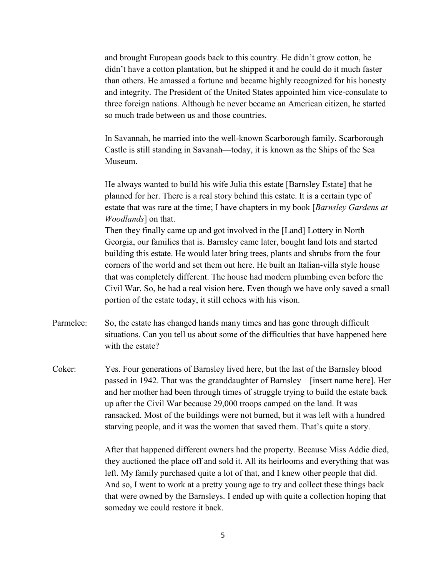and brought European goods back to this country. He didn't grow cotton, he didn't have a cotton plantation, but he shipped it and he could do it much faster than others. He amassed a fortune and became highly recognized for his honesty and integrity. The President of the United States appointed him vice-consulate to three foreign nations. Although he never became an American citizen, he started so much trade between us and those countries.

In Savannah, he married into the well-known Scarborough family. Scarborough Castle is still standing in Savanah—today, it is known as the Ships of the Sea Museum.

He always wanted to build his wife Julia this estate [Barnsley Estate] that he planned for her. There is a real story behind this estate. It is a certain type of estate that was rare at the time; I have chapters in my book [*Barnsley Gardens at Woodlands*] on that.

Then they finally came up and got involved in the [Land] Lottery in North Georgia, our families that is. Barnsley came later, bought land lots and started building this estate. He would later bring trees, plants and shrubs from the four corners of the world and set them out here. He built an Italian-villa style house that was completely different. The house had modern plumbing even before the Civil War. So, he had a real vision here. Even though we have only saved a small portion of the estate today, it still echoes with his vison.

- Parmelee: So, the estate has changed hands many times and has gone through difficult situations. Can you tell us about some of the difficulties that have happened here with the estate?
- Coker: Yes. Four generations of Barnsley lived here, but the last of the Barnsley blood passed in 1942. That was the granddaughter of Barnsley—[insert name here]. Her and her mother had been through times of struggle trying to build the estate back up after the Civil War because 29,000 troops camped on the land. It was ransacked. Most of the buildings were not burned, but it was left with a hundred starving people, and it was the women that saved them. That's quite a story.

After that happened different owners had the property. Because Miss Addie died, they auctioned the place off and sold it. All its heirlooms and everything that was left. My family purchased quite a lot of that, and I knew other people that did. And so, I went to work at a pretty young age to try and collect these things back that were owned by the Barnsleys. I ended up with quite a collection hoping that someday we could restore it back.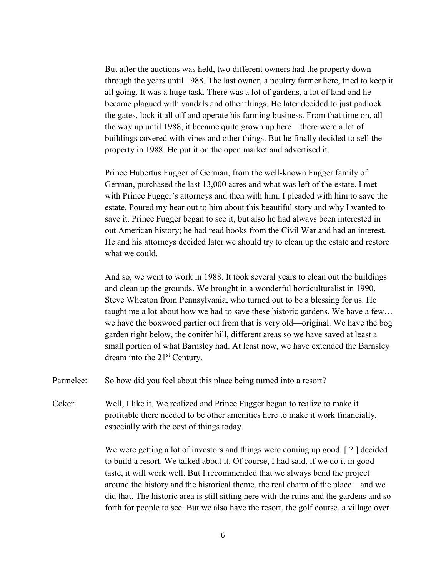But after the auctions was held, two different owners had the property down through the years until 1988. The last owner, a poultry farmer here, tried to keep it all going. It was a huge task. There was a lot of gardens, a lot of land and he became plagued with vandals and other things. He later decided to just padlock the gates, lock it all off and operate his farming business. From that time on, all the way up until 1988, it became quite grown up here—there were a lot of buildings covered with vines and other things. But he finally decided to sell the property in 1988. He put it on the open market and advertised it.

Prince Hubertus Fugger of German, from the well-known Fugger family of German, purchased the last 13,000 acres and what was left of the estate. I met with Prince Fugger's attorneys and then with him. I pleaded with him to save the estate. Poured my hear out to him about this beautiful story and why I wanted to save it. Prince Fugger began to see it, but also he had always been interested in out American history; he had read books from the Civil War and had an interest. He and his attorneys decided later we should try to clean up the estate and restore what we could.

And so, we went to work in 1988. It took several years to clean out the buildings and clean up the grounds. We brought in a wonderful horticulturalist in 1990, Steve Wheaton from Pennsylvania, who turned out to be a blessing for us. He taught me a lot about how we had to save these historic gardens. We have a few… we have the boxwood partier out from that is very old—original. We have the bog garden right below, the conifer hill, different areas so we have saved at least a small portion of what Barnsley had. At least now, we have extended the Barnsley dream into the 21st Century.

Parmelee: So how did you feel about this place being turned into a resort?

Coker: Well, I like it. We realized and Prince Fugger began to realize to make it profitable there needed to be other amenities here to make it work financially, especially with the cost of things today.

> We were getting a lot of investors and things were coming up good. [ ? ] decided to build a resort. We talked about it. Of course, I had said, if we do it in good taste, it will work well. But I recommended that we always bend the project around the history and the historical theme, the real charm of the place—and we did that. The historic area is still sitting here with the ruins and the gardens and so forth for people to see. But we also have the resort, the golf course, a village over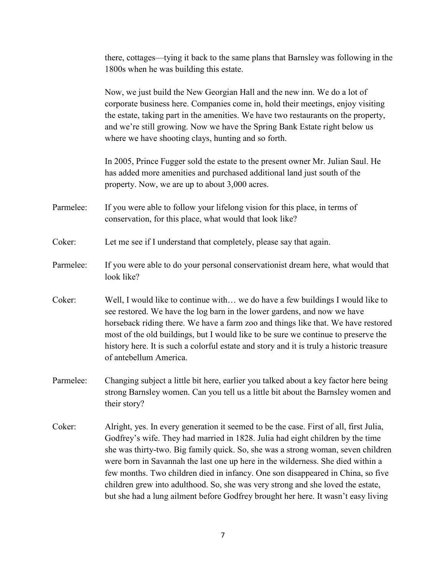there, cottages—tying it back to the same plans that Barnsley was following in the 1800s when he was building this estate.

Now, we just build the New Georgian Hall and the new inn. We do a lot of corporate business here. Companies come in, hold their meetings, enjoy visiting the estate, taking part in the amenities. We have two restaurants on the property, and we're still growing. Now we have the Spring Bank Estate right below us where we have shooting clays, hunting and so forth.

In 2005, Prince Fugger sold the estate to the present owner Mr. Julian Saul. He has added more amenities and purchased additional land just south of the property. Now, we are up to about 3,000 acres.

- Parmelee: If you were able to follow your lifelong vision for this place, in terms of conservation, for this place, what would that look like?
- Coker: Let me see if I understand that completely, please say that again.
- Parmelee: If you were able to do your personal conservationist dream here, what would that look like?
- Coker: Well, I would like to continue with… we do have a few buildings I would like to see restored. We have the log barn in the lower gardens, and now we have horseback riding there. We have a farm zoo and things like that. We have restored most of the old buildings, but I would like to be sure we continue to preserve the history here. It is such a colorful estate and story and it is truly a historic treasure of antebellum America.
- Parmelee: Changing subject a little bit here, earlier you talked about a key factor here being strong Barnsley women. Can you tell us a little bit about the Barnsley women and their story?
- Coker: Alright, yes. In every generation it seemed to be the case. First of all, first Julia, Godfrey's wife. They had married in 1828. Julia had eight children by the time she was thirty-two. Big family quick. So, she was a strong woman, seven children were born in Savannah the last one up here in the wilderness. She died within a few months. Two children died in infancy. One son disappeared in China, so five children grew into adulthood. So, she was very strong and she loved the estate, but she had a lung ailment before Godfrey brought her here. It wasn't easy living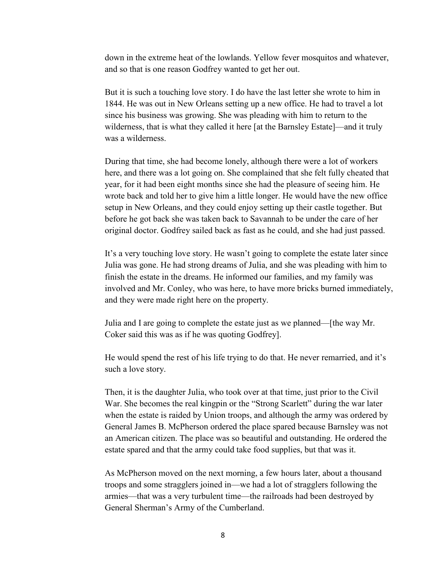down in the extreme heat of the lowlands. Yellow fever mosquitos and whatever, and so that is one reason Godfrey wanted to get her out.

But it is such a touching love story. I do have the last letter she wrote to him in 1844. He was out in New Orleans setting up a new office. He had to travel a lot since his business was growing. She was pleading with him to return to the wilderness, that is what they called it here [at the Barnsley Estate]—and it truly was a wilderness.

During that time, she had become lonely, although there were a lot of workers here, and there was a lot going on. She complained that she felt fully cheated that year, for it had been eight months since she had the pleasure of seeing him. He wrote back and told her to give him a little longer. He would have the new office setup in New Orleans, and they could enjoy setting up their castle together. But before he got back she was taken back to Savannah to be under the care of her original doctor. Godfrey sailed back as fast as he could, and she had just passed.

It's a very touching love story. He wasn't going to complete the estate later since Julia was gone. He had strong dreams of Julia, and she was pleading with him to finish the estate in the dreams. He informed our families, and my family was involved and Mr. Conley, who was here, to have more bricks burned immediately, and they were made right here on the property.

Julia and I are going to complete the estate just as we planned—[the way Mr. Coker said this was as if he was quoting Godfrey].

He would spend the rest of his life trying to do that. He never remarried, and it's such a love story.

Then, it is the daughter Julia, who took over at that time, just prior to the Civil War. She becomes the real kingpin or the "Strong Scarlett" during the war later when the estate is raided by Union troops, and although the army was ordered by General James B. McPherson ordered the place spared because Barnsley was not an American citizen. The place was so beautiful and outstanding. He ordered the estate spared and that the army could take food supplies, but that was it.

As McPherson moved on the next morning, a few hours later, about a thousand troops and some stragglers joined in—we had a lot of stragglers following the armies—that was a very turbulent time—the railroads had been destroyed by General Sherman's Army of the Cumberland.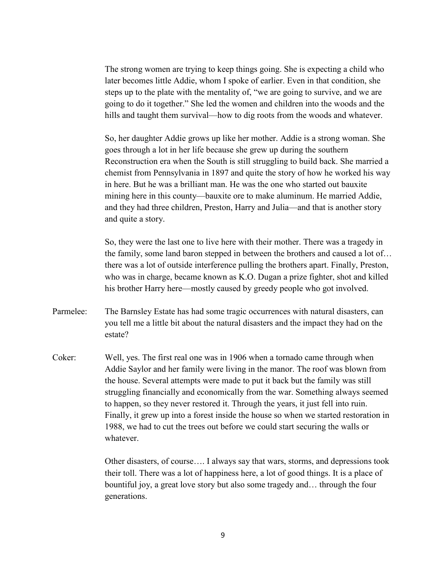The strong women are trying to keep things going. She is expecting a child who later becomes little Addie, whom I spoke of earlier. Even in that condition, she steps up to the plate with the mentality of, "we are going to survive, and we are going to do it together." She led the women and children into the woods and the hills and taught them survival—how to dig roots from the woods and whatever.

So, her daughter Addie grows up like her mother. Addie is a strong woman. She goes through a lot in her life because she grew up during the southern Reconstruction era when the South is still struggling to build back. She married a chemist from Pennsylvania in 1897 and quite the story of how he worked his way in here. But he was a brilliant man. He was the one who started out bauxite mining here in this county—bauxite ore to make aluminum. He married Addie, and they had three children, Preston, Harry and Julia—and that is another story and quite a story.

So, they were the last one to live here with their mother. There was a tragedy in the family, some land baron stepped in between the brothers and caused a lot of… there was a lot of outside interference pulling the brothers apart. Finally, Preston, who was in charge, became known as K.O. Dugan a prize fighter, shot and killed his brother Harry here—mostly caused by greedy people who got involved.

- Parmelee: The Barnsley Estate has had some tragic occurrences with natural disasters, can you tell me a little bit about the natural disasters and the impact they had on the estate?
- Coker: Well, yes. The first real one was in 1906 when a tornado came through when Addie Saylor and her family were living in the manor. The roof was blown from the house. Several attempts were made to put it back but the family was still struggling financially and economically from the war. Something always seemed to happen, so they never restored it. Through the years, it just fell into ruin. Finally, it grew up into a forest inside the house so when we started restoration in 1988, we had to cut the trees out before we could start securing the walls or whatever.

Other disasters, of course…. I always say that wars, storms, and depressions took their toll. There was a lot of happiness here, a lot of good things. It is a place of bountiful joy, a great love story but also some tragedy and… through the four generations.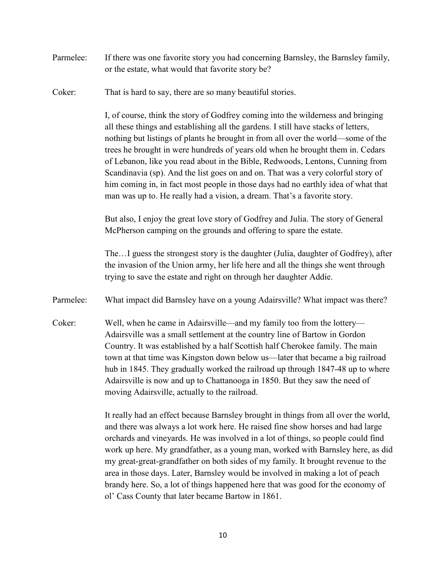- Parmelee: If there was one favorite story you had concerning Barnsley, the Barnsley family, or the estate, what would that favorite story be?
- Coker: That is hard to say, there are so many beautiful stories.

I, of course, think the story of Godfrey coming into the wilderness and bringing all these things and establishing all the gardens. I still have stacks of letters, nothing but listings of plants he brought in from all over the world—some of the trees he brought in were hundreds of years old when he brought them in. Cedars of Lebanon, like you read about in the Bible, Redwoods, Lentons, Cunning from Scandinavia (sp). And the list goes on and on. That was a very colorful story of him coming in, in fact most people in those days had no earthly idea of what that man was up to. He really had a vision, a dream. That's a favorite story.

But also, I enjoy the great love story of Godfrey and Julia. The story of General McPherson camping on the grounds and offering to spare the estate.

The…I guess the strongest story is the daughter (Julia, daughter of Godfrey), after the invasion of the Union army, her life here and all the things she went through trying to save the estate and right on through her daughter Addie.

- Parmelee: What impact did Barnsley have on a young Adairsville? What impact was there?
- Coker: Well, when he came in Adairsville—and my family too from the lottery— Adairsville was a small settlement at the country line of Bartow in Gordon Country. It was established by a half Scottish half Cherokee family. The main town at that time was Kingston down below us—later that became a big railroad hub in 1845. They gradually worked the railroad up through 1847-48 up to where Adairsville is now and up to Chattanooga in 1850. But they saw the need of moving Adairsville, actually to the railroad.

It really had an effect because Barnsley brought in things from all over the world, and there was always a lot work here. He raised fine show horses and had large orchards and vineyards. He was involved in a lot of things, so people could find work up here. My grandfather, as a young man, worked with Barnsley here, as did my great-great-grandfather on both sides of my family. It brought revenue to the area in those days. Later, Barnsley would be involved in making a lot of peach brandy here. So, a lot of things happened here that was good for the economy of ol' Cass County that later became Bartow in 1861.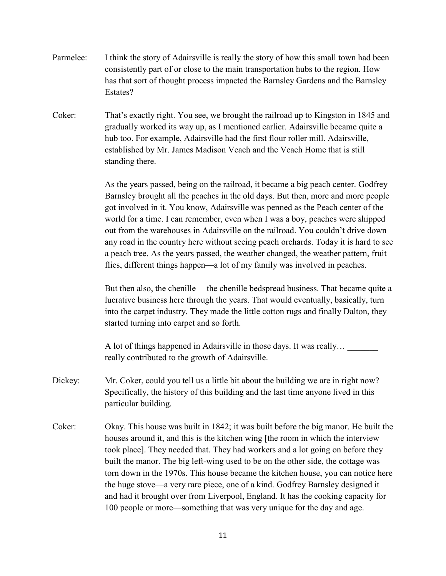- Parmelee: I think the story of Adairsville is really the story of how this small town had been consistently part of or close to the main transportation hubs to the region. How has that sort of thought process impacted the Barnsley Gardens and the Barnsley Estates?
- Coker: That's exactly right. You see, we brought the railroad up to Kingston in 1845 and gradually worked its way up, as I mentioned earlier. Adairsville became quite a hub too. For example, Adairsville had the first flour roller mill. Adairsville, established by Mr. James Madison Veach and the Veach Home that is still standing there.

As the years passed, being on the railroad, it became a big peach center. Godfrey Barnsley brought all the peaches in the old days. But then, more and more people got involved in it. You know, Adairsville was penned as the Peach center of the world for a time. I can remember, even when I was a boy, peaches were shipped out from the warehouses in Adairsville on the railroad. You couldn't drive down any road in the country here without seeing peach orchards. Today it is hard to see a peach tree. As the years passed, the weather changed, the weather pattern, fruit flies, different things happen—a lot of my family was involved in peaches.

But then also, the chenille —the chenille bedspread business. That became quite a lucrative business here through the years. That would eventually, basically, turn into the carpet industry. They made the little cotton rugs and finally Dalton, they started turning into carpet and so forth.

A lot of things happened in Adairsville in those days. It was really... really contributed to the growth of Adairsville.

- Dickey: Mr. Coker, could you tell us a little bit about the building we are in right now? Specifically, the history of this building and the last time anyone lived in this particular building.
- Coker: Okay. This house was built in 1842; it was built before the big manor. He built the houses around it, and this is the kitchen wing [the room in which the interview took place]. They needed that. They had workers and a lot going on before they built the manor. The big left-wing used to be on the other side, the cottage was torn down in the 1970s. This house became the kitchen house, you can notice here the huge stove—a very rare piece, one of a kind. Godfrey Barnsley designed it and had it brought over from Liverpool, England. It has the cooking capacity for 100 people or more—something that was very unique for the day and age.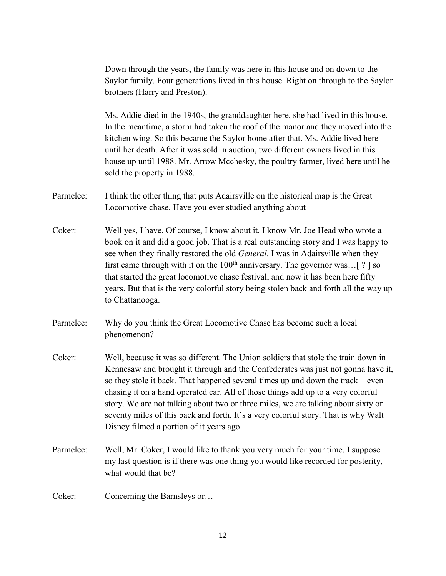Down through the years, the family was here in this house and on down to the Saylor family. Four generations lived in this house. Right on through to the Saylor brothers (Harry and Preston).

Ms. Addie died in the 1940s, the granddaughter here, she had lived in this house. In the meantime, a storm had taken the roof of the manor and they moved into the kitchen wing. So this became the Saylor home after that. Ms. Addie lived here until her death. After it was sold in auction, two different owners lived in this house up until 1988. Mr. Arrow Mcchesky, the poultry farmer, lived here until he sold the property in 1988.

- Parmelee: I think the other thing that puts Adairsville on the historical map is the Great Locomotive chase. Have you ever studied anything about—
- Coker: Well yes, I have. Of course, I know about it. I know Mr. Joe Head who wrote a book on it and did a good job. That is a real outstanding story and I was happy to see when they finally restored the old *General*. I was in Adairsville when they first came through with it on the  $100<sup>th</sup>$  anniversary. The governor was... [ ? ] so that started the great locomotive chase festival, and now it has been here fifty years. But that is the very colorful story being stolen back and forth all the way up to Chattanooga.
- Parmelee: Why do you think the Great Locomotive Chase has become such a local phenomenon?
- Coker: Well, because it was so different. The Union soldiers that stole the train down in Kennesaw and brought it through and the Confederates was just not gonna have it, so they stole it back. That happened several times up and down the track—even chasing it on a hand operated car. All of those things add up to a very colorful story. We are not talking about two or three miles, we are talking about sixty or seventy miles of this back and forth. It's a very colorful story. That is why Walt Disney filmed a portion of it years ago.
- Parmelee: Well, Mr. Coker, I would like to thank you very much for your time. I suppose my last question is if there was one thing you would like recorded for posterity, what would that be?

Coker: Concerning the Barnsleys or…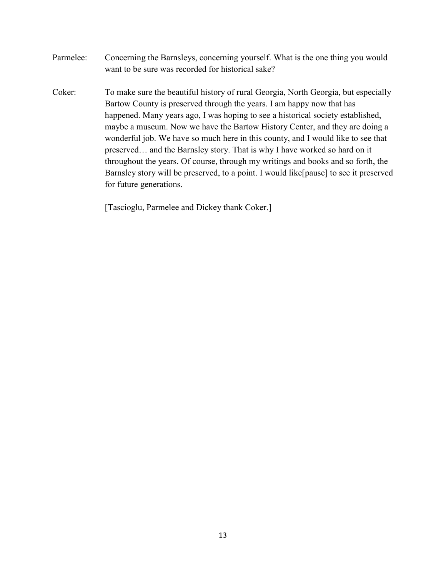- Parmelee: Concerning the Barnsleys, concerning yourself. What is the one thing you would want to be sure was recorded for historical sake?
- Coker: To make sure the beautiful history of rural Georgia, North Georgia, but especially Bartow County is preserved through the years. I am happy now that has happened. Many years ago, I was hoping to see a historical society established, maybe a museum. Now we have the Bartow History Center, and they are doing a wonderful job. We have so much here in this county, and I would like to see that preserved… and the Barnsley story. That is why I have worked so hard on it throughout the years. Of course, through my writings and books and so forth, the Barnsley story will be preserved, to a point. I would like[pause] to see it preserved for future generations.

[Tascioglu, Parmelee and Dickey thank Coker.]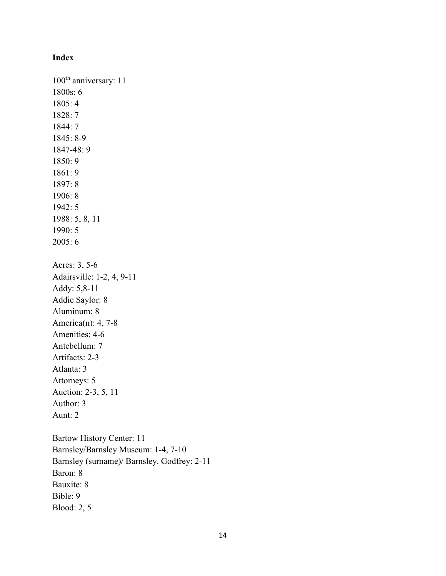## **Index**

100<sup>th</sup> anniversary: 11 1800s: 6 1805: 4 1828: 7 1844: 7 1845: 8-9 1847-48: 9 1850: 9 1861: 9 1897: 8 1906: 8 1942: 5 1988: 5, 8, 11 1990: 5 2005: 6 Acres: 3, 5-6 Adairsville: 1-2, 4, 9-11 Addy: 5,8-11 Addie Saylor: 8 Aluminum: 8 America(n): 4, 7-8 Amenities: 4-6 Antebellum: 7 Artifacts: 2-3 Atlanta: 3 Attorneys: 5 Auction: 2-3, 5, 11 Author: 3 Aunt: 2 Bartow History Center: 11 Barnsley/Barnsley Museum: 1-4, 7-10 Barnsley (surname)/ Barnsley. Godfrey: 2-11 Baron: 8 Bauxite: 8 Bible: 9 Blood: 2, 5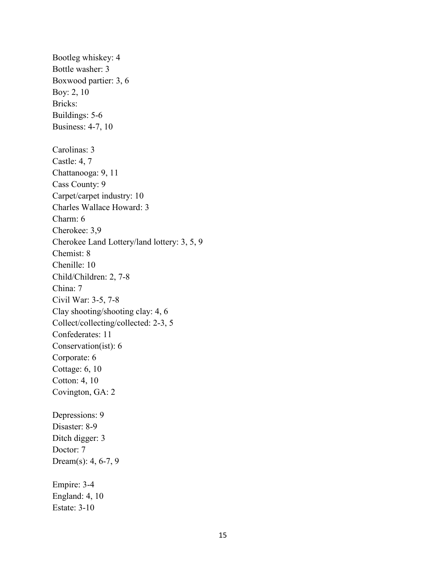Bootleg whiskey: 4 Bottle washer: 3 Boxwood partier: 3, 6 Boy: 2, 10 Bricks: Buildings: 5-6 Business: 4-7, 10 Carolinas: 3 Castle: 4, 7 Chattanooga: 9, 11 Cass County: 9 Carpet/carpet industry: 10 Charles Wallace Howard: 3 Charm: 6 Cherokee: 3,9 Cherokee Land Lottery/land lottery: 3, 5, 9 Chemist: 8 Chenille: 10 Child/Children: 2, 7-8 China: 7 Civil War: 3-5, 7-8 Clay shooting/shooting clay: 4, 6 Collect/collecting/collected: 2-3, 5 Confederates: 11 Conservation(ist): 6 Corporate: 6 Cottage: 6, 10 Cotton: 4, 10 Covington, GA: 2 Depressions: 9 Disaster: 8-9 Ditch digger: 3 Doctor: 7 Dream(s): 4, 6-7, 9 Empire: 3-4 England: 4, 10 Estate: 3-10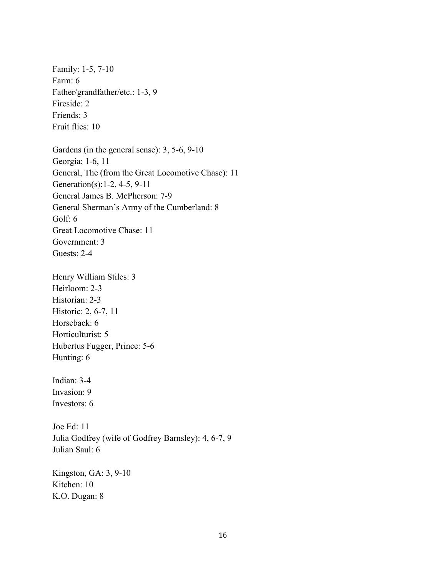Family: 1-5, 7-10 Farm: 6 Father/grandfather/etc.: 1-3, 9 Fireside: 2 Friends: 3 Fruit flies: 10

Gardens (in the general sense): 3, 5-6, 9-10 Georgia: 1-6, 11 General, The (from the Great Locomotive Chase): 11 Generation(s):1-2, 4-5, 9-11 General James B. McPherson: 7-9 General Sherman's Army of the Cumberland: 8 Golf: 6 Great Locomotive Chase: 11 Government: 3 Guests: 2-4

Henry William Stiles: 3 Heirloom: 2-3 Historian: 2-3 Historic: 2, 6-7, 11 Horseback: 6 Horticulturist: 5 Hubertus Fugger, Prince: 5-6 Hunting: 6

Indian: 3-4 Invasion: 9 Investors: 6

Joe Ed: 11 Julia Godfrey (wife of Godfrey Barnsley): 4, 6-7, 9 Julian Saul: 6

Kingston, GA: 3, 9-10 Kitchen: 10 K.O. Dugan: 8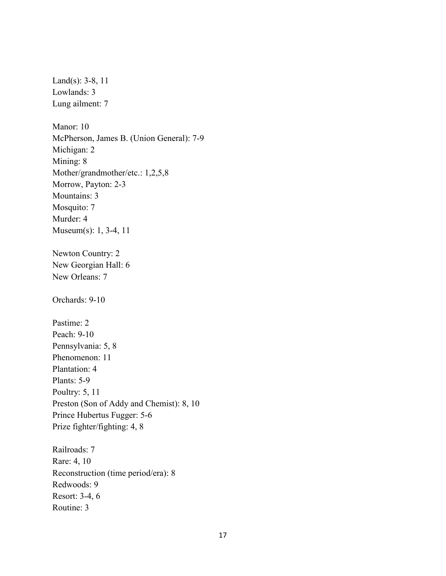Land(s): 3-8, 11 Lowlands: 3 Lung ailment: 7 Manor: 10 McPherson, James B. (Union General): 7-9 Michigan: 2 Mining: 8 Mother/grandmother/etc.: 1,2,5,8 Morrow, Payton: 2-3 Mountains: 3 Mosquito: 7 Murder: 4 Museum(s): 1, 3-4, 11 Newton Country: 2 New Georgian Hall: 6 New Orleans: 7 Orchards: 9-10 Pastime: 2 Peach: 9-10 Pennsylvania: 5, 8 Phenomenon: 11 Plantation: 4 Plants: 5-9 Poultry: 5, 11 Preston (Son of Addy and Chemist): 8, 10 Prince Hubertus Fugger: 5-6 Prize fighter/fighting: 4, 8 Railroads: 7 Rare: 4, 10 Reconstruction (time period/era): 8 Redwoods: 9 Resort: 3-4, 6 Routine: 3